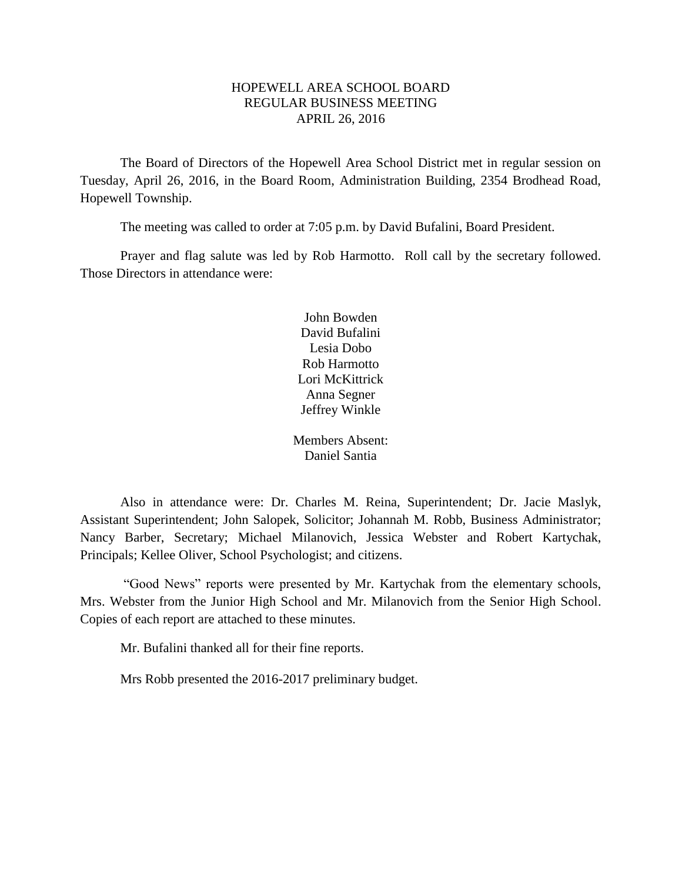# HOPEWELL AREA SCHOOL BOARD REGULAR BUSINESS MEETING APRIL 26, 2016

The Board of Directors of the Hopewell Area School District met in regular session on Tuesday, April 26, 2016, in the Board Room, Administration Building, 2354 Brodhead Road, Hopewell Township.

The meeting was called to order at 7:05 p.m. by David Bufalini, Board President.

Prayer and flag salute was led by Rob Harmotto. Roll call by the secretary followed. Those Directors in attendance were:

> John Bowden David Bufalini Lesia Dobo Rob Harmotto Lori McKittrick Anna Segner Jeffrey Winkle

Members Absent: Daniel Santia

Also in attendance were: Dr. Charles M. Reina, Superintendent; Dr. Jacie Maslyk, Assistant Superintendent; John Salopek, Solicitor; Johannah M. Robb, Business Administrator; Nancy Barber, Secretary; Michael Milanovich, Jessica Webster and Robert Kartychak, Principals; Kellee Oliver, School Psychologist; and citizens.

"Good News" reports were presented by Mr. Kartychak from the elementary schools, Mrs. Webster from the Junior High School and Mr. Milanovich from the Senior High School. Copies of each report are attached to these minutes.

Mr. Bufalini thanked all for their fine reports.

Mrs Robb presented the 2016-2017 preliminary budget.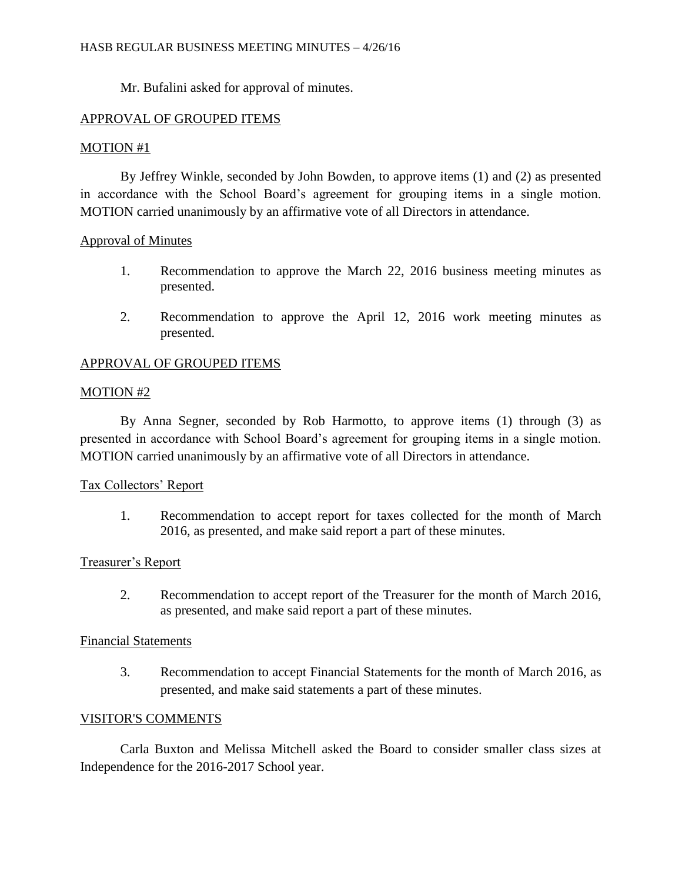Mr. Bufalini asked for approval of minutes.

# APPROVAL OF GROUPED ITEMS

# MOTION #1

By Jeffrey Winkle, seconded by John Bowden, to approve items (1) and (2) as presented in accordance with the School Board's agreement for grouping items in a single motion. MOTION carried unanimously by an affirmative vote of all Directors in attendance.

#### Approval of Minutes

- 1. Recommendation to approve the March 22, 2016 business meeting minutes as presented.
- 2. Recommendation to approve the April 12, 2016 work meeting minutes as presented.

# APPROVAL OF GROUPED ITEMS

# MOTION #2

By Anna Segner, seconded by Rob Harmotto, to approve items (1) through (3) as presented in accordance with School Board's agreement for grouping items in a single motion. MOTION carried unanimously by an affirmative vote of all Directors in attendance.

# Tax Collectors' Report

1. Recommendation to accept report for taxes collected for the month of March 2016, as presented, and make said report a part of these minutes.

# Treasurer's Report

2. Recommendation to accept report of the Treasurer for the month of March 2016, as presented, and make said report a part of these minutes.

#### Financial Statements

3. Recommendation to accept Financial Statements for the month of March 2016, as presented, and make said statements a part of these minutes.

# VISITOR'S COMMENTS

Carla Buxton and Melissa Mitchell asked the Board to consider smaller class sizes at Independence for the 2016-2017 School year.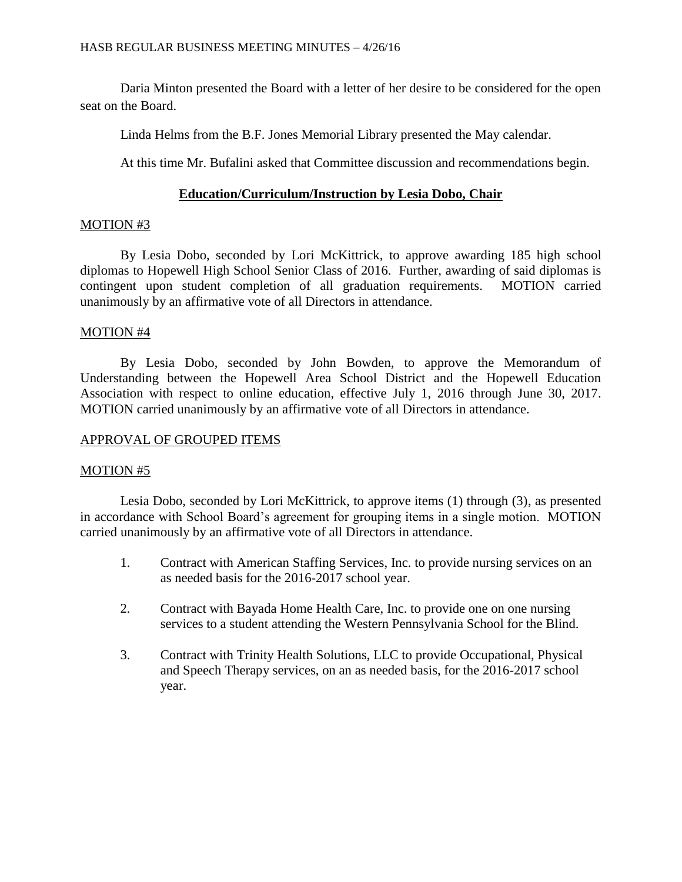Daria Minton presented the Board with a letter of her desire to be considered for the open seat on the Board.

Linda Helms from the B.F. Jones Memorial Library presented the May calendar.

At this time Mr. Bufalini asked that Committee discussion and recommendations begin.

# **Education/Curriculum/Instruction by Lesia Dobo, Chair**

# MOTION #3

By Lesia Dobo, seconded by Lori McKittrick, to approve awarding 185 high school diplomas to Hopewell High School Senior Class of 2016. Further, awarding of said diplomas is contingent upon student completion of all graduation requirements. MOTION carried unanimously by an affirmative vote of all Directors in attendance.

# MOTION #4

By Lesia Dobo, seconded by John Bowden, to approve the Memorandum of Understanding between the Hopewell Area School District and the Hopewell Education Association with respect to online education, effective July 1, 2016 through June 30, 2017. MOTION carried unanimously by an affirmative vote of all Directors in attendance.

# APPROVAL OF GROUPED ITEMS

# MOTION #5

Lesia Dobo, seconded by Lori McKittrick, to approve items (1) through (3), as presented in accordance with School Board's agreement for grouping items in a single motion. MOTION carried unanimously by an affirmative vote of all Directors in attendance.

- 1. Contract with American Staffing Services, Inc. to provide nursing services on an as needed basis for the 2016-2017 school year.
- 2. Contract with Bayada Home Health Care, Inc. to provide one on one nursing services to a student attending the Western Pennsylvania School for the Blind.
- 3. Contract with Trinity Health Solutions, LLC to provide Occupational, Physical and Speech Therapy services, on an as needed basis, for the 2016-2017 school year.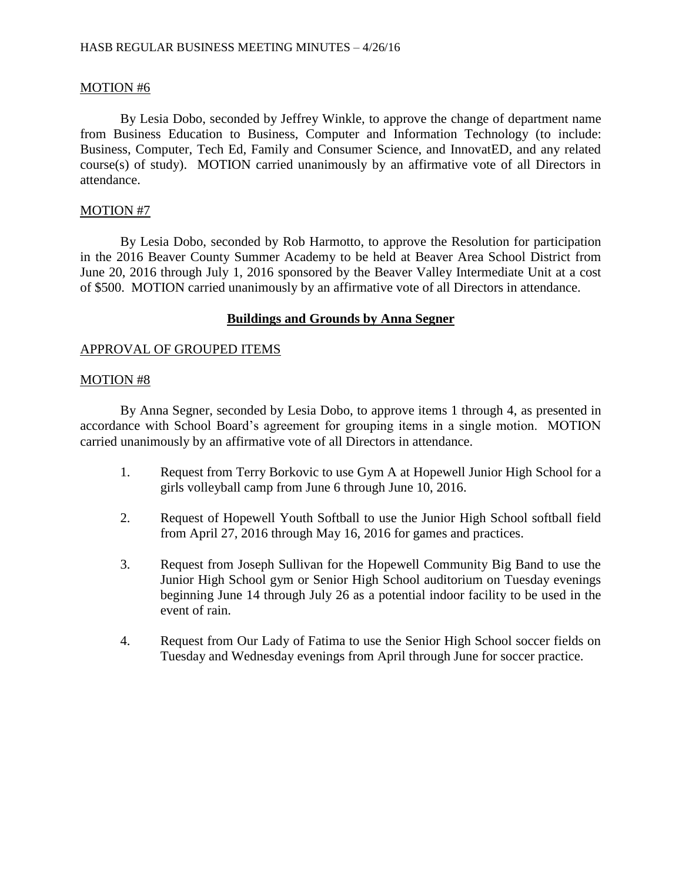# MOTION #6

By Lesia Dobo, seconded by Jeffrey Winkle, to approve the change of department name from Business Education to Business, Computer and Information Technology (to include: Business, Computer, Tech Ed, Family and Consumer Science, and InnovatED, and any related course(s) of study). MOTION carried unanimously by an affirmative vote of all Directors in attendance.

# MOTION #7

By Lesia Dobo, seconded by Rob Harmotto, to approve the Resolution for participation in the 2016 Beaver County Summer Academy to be held at Beaver Area School District from June 20, 2016 through July 1, 2016 sponsored by the Beaver Valley Intermediate Unit at a cost of \$500. MOTION carried unanimously by an affirmative vote of all Directors in attendance.

# **Buildings and Grounds by Anna Segner**

# APPROVAL OF GROUPED ITEMS

# MOTION #8

By Anna Segner, seconded by Lesia Dobo, to approve items 1 through 4, as presented in accordance with School Board's agreement for grouping items in a single motion. MOTION carried unanimously by an affirmative vote of all Directors in attendance.

- 1. Request from Terry Borkovic to use Gym A at Hopewell Junior High School for a girls volleyball camp from June 6 through June 10, 2016.
- 2. Request of Hopewell Youth Softball to use the Junior High School softball field from April 27, 2016 through May 16, 2016 for games and practices.
- 3. Request from Joseph Sullivan for the Hopewell Community Big Band to use the Junior High School gym or Senior High School auditorium on Tuesday evenings beginning June 14 through July 26 as a potential indoor facility to be used in the event of rain.
- 4. Request from Our Lady of Fatima to use the Senior High School soccer fields on Tuesday and Wednesday evenings from April through June for soccer practice.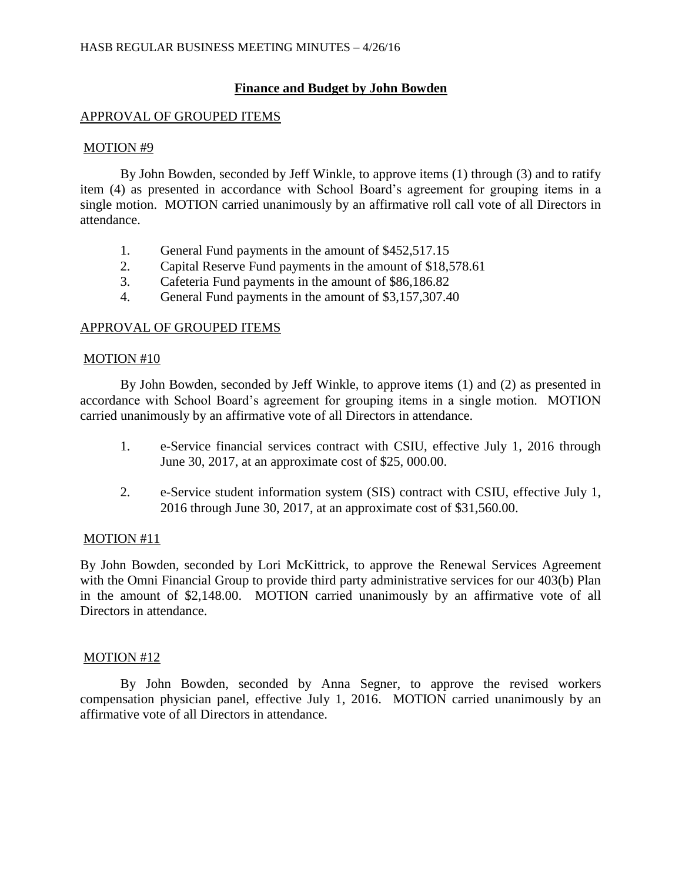# **Finance and Budget by John Bowden**

# APPROVAL OF GROUPED ITEMS

#### MOTION #9

By John Bowden, seconded by Jeff Winkle, to approve items (1) through (3) and to ratify item (4) as presented in accordance with School Board's agreement for grouping items in a single motion. MOTION carried unanimously by an affirmative roll call vote of all Directors in attendance.

- 1. General Fund payments in the amount of \$452,517.15
- 2. Capital Reserve Fund payments in the amount of \$18,578.61
- 3. Cafeteria Fund payments in the amount of \$86,186.82
- 4. General Fund payments in the amount of \$3,157,307.40

# APPROVAL OF GROUPED ITEMS

# MOTION #10

By John Bowden, seconded by Jeff Winkle, to approve items (1) and (2) as presented in accordance with School Board's agreement for grouping items in a single motion. MOTION carried unanimously by an affirmative vote of all Directors in attendance.

- 1. e-Service financial services contract with CSIU, effective July 1, 2016 through June 30, 2017, at an approximate cost of \$25, 000.00.
- 2. e-Service student information system (SIS) contract with CSIU, effective July 1, 2016 through June 30, 2017, at an approximate cost of \$31,560.00.

# MOTION #11

By John Bowden, seconded by Lori McKittrick, to approve the Renewal Services Agreement with the Omni Financial Group to provide third party administrative services for our 403(b) Plan in the amount of \$2,148.00. MOTION carried unanimously by an affirmative vote of all Directors in attendance.

# MOTION #12

By John Bowden, seconded by Anna Segner, to approve the revised workers compensation physician panel, effective July 1, 2016. MOTION carried unanimously by an affirmative vote of all Directors in attendance.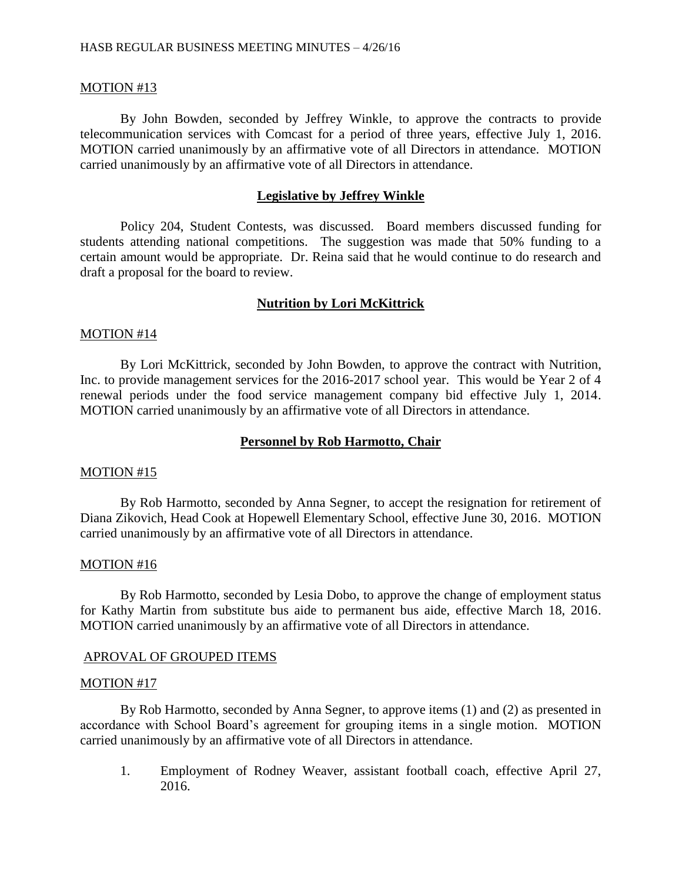#### MOTION #13

By John Bowden, seconded by Jeffrey Winkle, to approve the contracts to provide telecommunication services with Comcast for a period of three years, effective July 1, 2016. MOTION carried unanimously by an affirmative vote of all Directors in attendance. MOTION carried unanimously by an affirmative vote of all Directors in attendance.

#### **Legislative by Jeffrey Winkle**

Policy 204, Student Contests, was discussed. Board members discussed funding for students attending national competitions. The suggestion was made that 50% funding to a certain amount would be appropriate. Dr. Reina said that he would continue to do research and draft a proposal for the board to review.

#### **Nutrition by Lori McKittrick**

#### MOTION #14

By Lori McKittrick, seconded by John Bowden, to approve the contract with Nutrition, Inc. to provide management services for the 2016-2017 school year. This would be Year 2 of 4 renewal periods under the food service management company bid effective July 1, 2014. MOTION carried unanimously by an affirmative vote of all Directors in attendance.

#### **Personnel by Rob Harmotto, Chair**

#### MOTION #15

By Rob Harmotto, seconded by Anna Segner, to accept the resignation for retirement of Diana Zikovich, Head Cook at Hopewell Elementary School, effective June 30, 2016. MOTION carried unanimously by an affirmative vote of all Directors in attendance.

#### MOTION #16

By Rob Harmotto, seconded by Lesia Dobo, to approve the change of employment status for Kathy Martin from substitute bus aide to permanent bus aide, effective March 18, 2016. MOTION carried unanimously by an affirmative vote of all Directors in attendance.

#### APROVAL OF GROUPED ITEMS

#### MOTION #17

By Rob Harmotto, seconded by Anna Segner, to approve items (1) and (2) as presented in accordance with School Board's agreement for grouping items in a single motion. MOTION carried unanimously by an affirmative vote of all Directors in attendance.

1. Employment of Rodney Weaver, assistant football coach, effective April 27, 2016.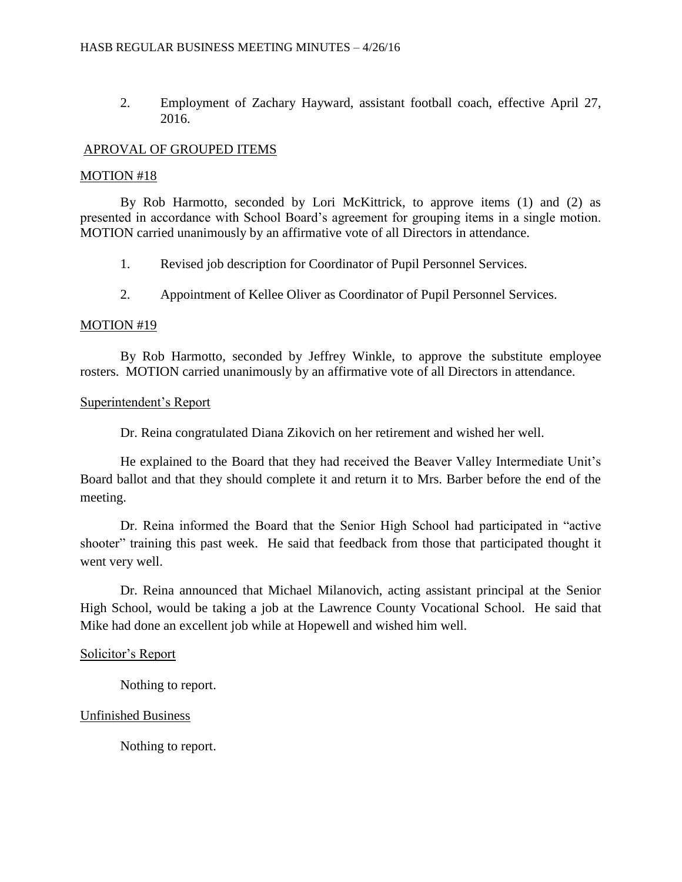2. Employment of Zachary Hayward, assistant football coach, effective April 27, 2016.

#### APROVAL OF GROUPED ITEMS

#### MOTION #18

By Rob Harmotto, seconded by Lori McKittrick, to approve items (1) and (2) as presented in accordance with School Board's agreement for grouping items in a single motion. MOTION carried unanimously by an affirmative vote of all Directors in attendance.

1. Revised job description for Coordinator of Pupil Personnel Services.

2. Appointment of Kellee Oliver as Coordinator of Pupil Personnel Services.

#### MOTION #19

By Rob Harmotto, seconded by Jeffrey Winkle, to approve the substitute employee rosters. MOTION carried unanimously by an affirmative vote of all Directors in attendance.

#### Superintendent's Report

Dr. Reina congratulated Diana Zikovich on her retirement and wished her well.

He explained to the Board that they had received the Beaver Valley Intermediate Unit's Board ballot and that they should complete it and return it to Mrs. Barber before the end of the meeting.

Dr. Reina informed the Board that the Senior High School had participated in "active shooter" training this past week. He said that feedback from those that participated thought it went very well.

Dr. Reina announced that Michael Milanovich, acting assistant principal at the Senior High School, would be taking a job at the Lawrence County Vocational School. He said that Mike had done an excellent job while at Hopewell and wished him well.

# Solicitor's Report

Nothing to report.

# Unfinished Business

Nothing to report.